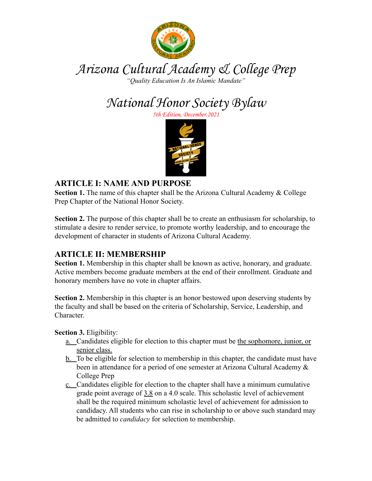

# Arizona Cultural Academy & College Prep

*"Quality Education Is An Islamic Mandate"*

National Honor Society Bylaw

5th Edition, December.2021



# **ARTICLE I: NAME AND PURPOSE**

**Section 1.** The name of this chapter shall be the Arizona Cultural Academy & College Prep Chapter of the National Honor Society.

**Section 2.** The purpose of this chapter shall be to create an enthusiasm for scholarship, to stimulate a desire to render service, to promote worthy leadership, and to encourage the development of character in students of Arizona Cultural Academy.

# **ARTICLE II: MEMBERSHIP**

**Section 1.** Membership in this chapter shall be known as active, honorary, and graduate. Active members become graduate members at the end of their enrollment. Graduate and honorary members have no vote in chapter affairs.

**Section 2.** Membership in this chapter is an honor bestowed upon deserving students by the faculty and shall be based on the criteria of Scholarship, Service, Leadership, and Character.

**Section 3.** Eligibility:

- a. Candidates eligible for election to this chapter must be the sophomore, junior, or senior class.
- b. To be eligible for selection to membership in this chapter, the candidate must have been in attendance for a period of one semester at Arizona Cultural Academy & College Prep
- c. Candidates eligible for election to the chapter shall have a minimum cumulative grade point average of 3.8 on a 4.0 scale. This scholastic level of achievement shall be the required minimum scholastic level of achievement for admission to candidacy. All students who can rise in scholarship to or above such standard may be admitted to *candidacy* for selection to membership.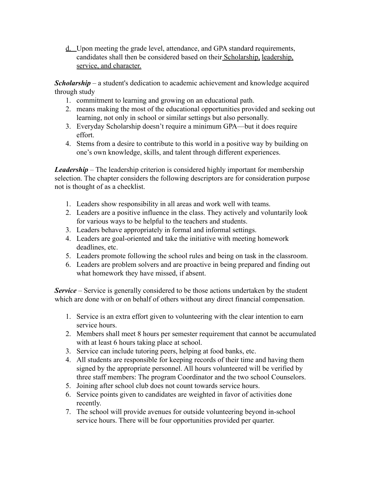d. Upon meeting the grade level, attendance, and GPA standard requirements, candidates shall then be considered based on their Scholarship, leadership, service, and character.

*Scholarship* – a student's dedication to academic achievement and knowledge acquired through study

- 1. commitment to learning and growing on an educational path.
- 2. means making the most of the educational opportunities provided and seeking out learning, not only in school or similar settings but also personally.
- 3. Everyday Scholarship doesn't require a minimum GPA—but it does require effort.
- 4. Stems from a desire to contribute to this world in a positive way by building on one's own knowledge, skills, and talent through different experiences.

*Leadership* – The leadership criterion is considered highly important for membership selection. The chapter considers the following descriptors are for consideration purpose not is thought of as a checklist.

- 1. Leaders show responsibility in all areas and work well with teams.
- 2. Leaders are a positive influence in the class. They actively and voluntarily look for various ways to be helpful to the teachers and students.
- 3. Leaders behave appropriately in formal and informal settings.
- 4. Leaders are goal-oriented and take the initiative with meeting homework deadlines, etc.
- 5. Leaders promote following the school rules and being on task in the classroom.
- 6. Leaders are problem solvers and are proactive in being prepared and finding out what homework they have missed, if absent.

*Service* – Service is generally considered to be those actions undertaken by the student which are done with or on behalf of others without any direct financial compensation.

- 1. Service is an extra effort given to volunteering with the clear intention to earn service hours.
- 2. Members shall meet 8 hours per semester requirement that cannot be accumulated with at least 6 hours taking place at school.
- 3. Service can include tutoring peers, helping at food banks, etc.
- 4. All students are responsible for keeping records of their time and having them signed by the appropriate personnel. All hours volunteered will be verified by three staff members: The program Coordinator and the two school Counselors.
- 5. Joining after school club does not count towards service hours.
- 6. Service points given to candidates are weighted in favor of activities done recently.
- 7. The school will provide avenues for outside volunteering beyond in-school service hours. There will be four opportunities provided per quarter.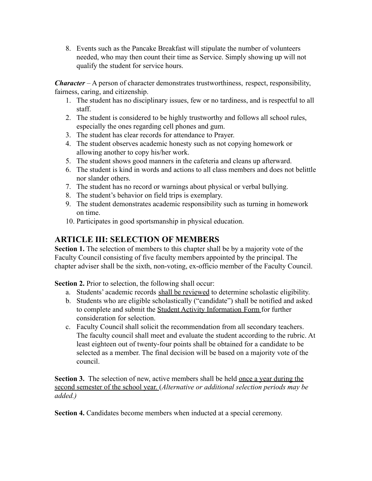8. Events such as the Pancake Breakfast will stipulate the number of volunteers needed, who may then count their time as Service. Simply showing up will not qualify the student for service hours.

*Character* – A person of character demonstrates trustworthiness, respect, responsibility, fairness, caring, and citizenship.

- 1. The student has no disciplinary issues, few or no tardiness, and is respectful to all staff.
- 2. The student is considered to be highly trustworthy and follows all school rules, especially the ones regarding cell phones and gum.
- 3. The student has clear records for attendance to Prayer.
- 4. The student observes academic honesty such as not copying homework or allowing another to copy his/her work.
- 5. The student shows good manners in the cafeteria and cleans up afterward.
- 6. The student is kind in words and actions to all class members and does not belittle nor slander others.
- 7. The student has no record or warnings about physical or verbal bullying.
- 8. The student's behavior on field trips is exemplary.
- 9. The student demonstrates academic responsibility such as turning in homework on time.
- 10. Participates in good sportsmanship in physical education.

## **ARTICLE III: SELECTION OF MEMBERS**

**Section 1.** The selection of members to this chapter shall be by a majority vote of the Faculty Council consisting of five faculty members appointed by the principal. The chapter adviser shall be the sixth, non-voting, ex-officio member of the Faculty Council.

**Section 2.** Prior to selection, the following shall occur:

- a. Students' academic records shall be reviewed to determine scholastic eligibility.
- b. Students who are eligible scholastically ("candidate") shall be notified and asked to complete and submit the Student Activity Information Form for further consideration for selection.
- c. Faculty Council shall solicit the recommendation from all secondary teachers. The faculty council shall meet and evaluate the student according to the rubric. At least eighteen out of twenty-four points shall be obtained for a candidate to be selected as a member. The final decision will be based on a majority vote of the council.

**Section 3.** The selection of new, active members shall be held once a year during the second semester of the school year. (*Alternative or additional selection periods may be added.)*

**Section 4.** Candidates become members when inducted at a special ceremony.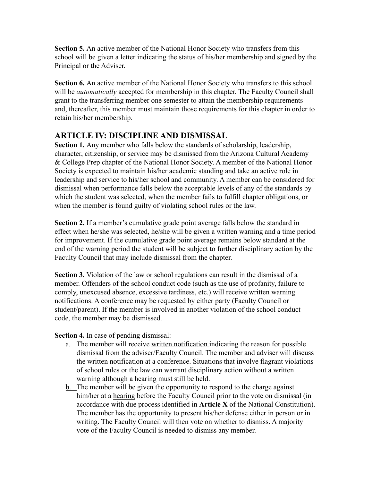**Section 5.** An active member of the National Honor Society who transfers from this school will be given a letter indicating the status of his/her membership and signed by the Principal or the Adviser.

Section 6. An active member of the National Honor Society who transfers to this school will be *automatically* accepted for membership in this chapter. The Faculty Council shall grant to the transferring member one semester to attain the membership requirements and, thereafter, this member must maintain those requirements for this chapter in order to retain his/her membership.

## **ARTICLE IV: DISCIPLINE AND DISMISSAL**

**Section 1.** Any member who falls below the standards of scholarship, leadership, character, citizenship, or service may be dismissed from the Arizona Cultural Academy & College Prep chapter of the National Honor Society. A member of the National Honor Society is expected to maintain his/her academic standing and take an active role in leadership and service to his/her school and community. A member can be considered for dismissal when performance falls below the acceptable levels of any of the standards by which the student was selected, when the member fails to fulfill chapter obligations, or when the member is found guilty of violating school rules or the law.

**Section 2.** If a member's cumulative grade point average falls below the standard in effect when he/she was selected, he/she will be given a written warning and a time period for improvement. If the cumulative grade point average remains below standard at the end of the warning period the student will be subject to further disciplinary action by the Faculty Council that may include dismissal from the chapter.

**Section 3.** Violation of the law or school regulations can result in the dismissal of a member. Offenders of the school conduct code (such as the use of profanity, failure to comply, unexcused absence, excessive tardiness, etc.) will receive written warning notifications. A conference may be requested by either party (Faculty Council or student/parent). If the member is involved in another violation of the school conduct code, the member may be dismissed.

**Section 4.** In case of pending dismissal:

- a. The member will receive written notification indicating the reason for possible dismissal from the adviser/Faculty Council. The member and adviser will discuss the written notification at a conference. Situations that involve flagrant violations of school rules or the law can warrant disciplinary action without a written warning although a hearing must still be held.
- b. The member will be given the opportunity to respond to the charge against him/her at a hearing before the Faculty Council prior to the vote on dismissal (in accordance with due process identified in **Article X** of the National Constitution). The member has the opportunity to present his/her defense either in person or in writing. The Faculty Council will then vote on whether to dismiss. A majority vote of the Faculty Council is needed to dismiss any member.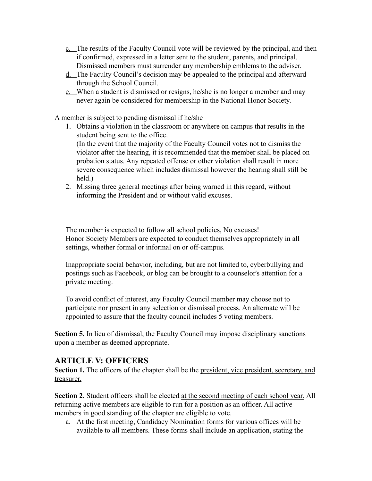- c. The results of the Faculty Council vote will be reviewed by the principal, and then if confirmed, expressed in a letter sent to the student, parents, and principal. Dismissed members must surrender any membership emblems to the adviser.
- d. The Faculty Council's decision may be appealed to the principal and afterward through the School Council.
- e. When a student is dismissed or resigns, he/she is no longer a member and may never again be considered for membership in the National Honor Society.

A member is subject to pending dismissal if he/she

- 1. Obtains a violation in the classroom or anywhere on campus that results in the student being sent to the office. (In the event that the majority of the Faculty Council votes not to dismiss the violator after the hearing, it is recommended that the member shall be placed on probation status. Any repeated offense or other violation shall result in more severe consequence which includes dismissal however the hearing shall still be held.)
- 2. Missing three general meetings after being warned in this regard, without informing the President and or without valid excuses.

The member is expected to follow all school policies, No excuses! Honor Society Members are expected to conduct themselves appropriately in all settings, whether formal or informal on or off-campus.

Inappropriate social behavior, including, but are not limited to, cyberbullying and postings such as Facebook, or blog can be brought to a counselor's attention for a private meeting.

To avoid conflict of interest, any Faculty Council member may choose not to participate nor present in any selection or dismissal process. An alternate will be appointed to assure that the faculty council includes 5 voting members.

**Section 5.** In lieu of dismissal, the Faculty Council may impose disciplinary sanctions upon a member as deemed appropriate.

### **ARTICLE V: OFFICERS**

**Section 1.** The officers of the chapter shall be the president, vice president, secretary, and treasurer.

**Section 2.** Student officers shall be elected at the second meeting of each school year. All returning active members are eligible to run for a position as an officer. All active members in good standing of the chapter are eligible to vote.

a. At the first meeting, Candidacy Nomination forms for various offices will be available to all members. These forms shall include an application, stating the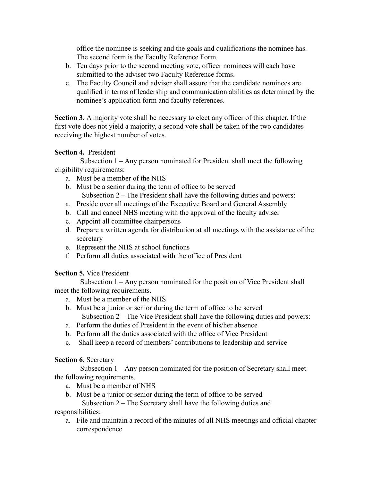office the nominee is seeking and the goals and qualifications the nominee has. The second form is the Faculty Reference Form.

- b. Ten days prior to the second meeting vote, officer nominees will each have submitted to the adviser two Faculty Reference forms.
- c. The Faculty Council and adviser shall assure that the candidate nominees are qualified in terms of leadership and communication abilities as determined by the nominee's application form and faculty references.

**Section 3.** A majority vote shall be necessary to elect any officer of this chapter. If the first vote does not yield a majority, a second vote shall be taken of the two candidates receiving the highest number of votes.

#### **Section 4.** President

Subsection 1 – Any person nominated for President shall meet the following eligibility requirements:

- a. Must be a member of the NHS
- b. Must be a senior during the term of office to be served Subsection 2 – The President shall have the following duties and powers:
- a. Preside over all meetings of the Executive Board and General Assembly
- b. Call and cancel NHS meeting with the approval of the faculty adviser
- c. Appoint all committee chairpersons
- d. Prepare a written agenda for distribution at all meetings with the assistance of the secretary
- e. Represent the NHS at school functions
- f. Perform all duties associated with the office of President

#### **Section 5.** Vice President

Subsection 1 – Any person nominated for the position of Vice President shall meet the following requirements.

- a. Must be a member of the NHS
- b. Must be a junior or senior during the term of office to be served Subsection 2 – The Vice President shall have the following duties and powers:
- a. Perform the duties of President in the event of his/her absence
- b. Perform all the duties associated with the office of Vice President
- c. Shall keep a record of members' contributions to leadership and service

#### **Section 6.** Secretary

Subsection 1 – Any person nominated for the position of Secretary shall meet the following requirements.

- a. Must be a member of NHS
- b. Must be a junior or senior during the term of office to be served

Subsection 2 – The Secretary shall have the following duties and

# responsibilities:

a. File and maintain a record of the minutes of all NHS meetings and official chapter correspondence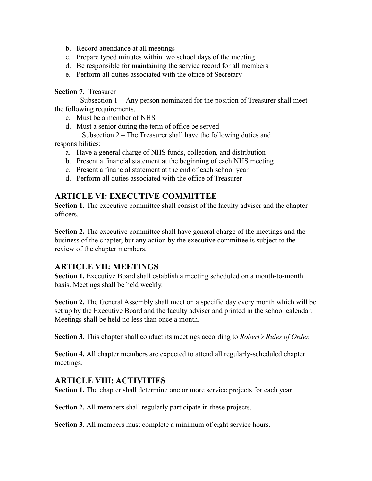- b. Record attendance at all meetings
- c. Prepare typed minutes within two school days of the meeting
- d. Be responsible for maintaining the service record for all members
- e. Perform all duties associated with the office of Secretary

#### **Section 7.** Treasurer

Subsection 1 -- Any person nominated for the position of Treasurer shall meet the following requirements.

c. Must be a member of NHS

d. Must a senior during the term of office be served

Subsection 2 – The Treasurer shall have the following duties and

responsibilities:

- a. Have a general charge of NHS funds, collection, and distribution
- b. Present a financial statement at the beginning of each NHS meeting
- c. Present a financial statement at the end of each school year
- d. Perform all duties associated with the office of Treasurer

## **ARTICLE VI: EXECUTIVE COMMITTEE**

**Section 1.** The executive committee shall consist of the faculty adviser and the chapter officers.

**Section 2.** The executive committee shall have general charge of the meetings and the business of the chapter, but any action by the executive committee is subject to the review of the chapter members.

### **ARTICLE VII: MEETINGS**

**Section 1.** Executive Board shall establish a meeting scheduled on a month-to-month basis. Meetings shall be held weekly.

**Section 2.** The General Assembly shall meet on a specific day every month which will be set up by the Executive Board and the faculty adviser and printed in the school calendar. Meetings shall be held no less than once a month.

**Section 3.** This chapter shall conduct its meetings according to *Robert's Rules of Order.*

**Section 4.** All chapter members are expected to attend all regularly-scheduled chapter meetings.

### **ARTICLE VIII: ACTIVITIES**

**Section 1.** The chapter shall determine one or more service projects for each year.

**Section 2.** All members shall regularly participate in these projects.

**Section 3.** All members must complete a minimum of eight service hours.